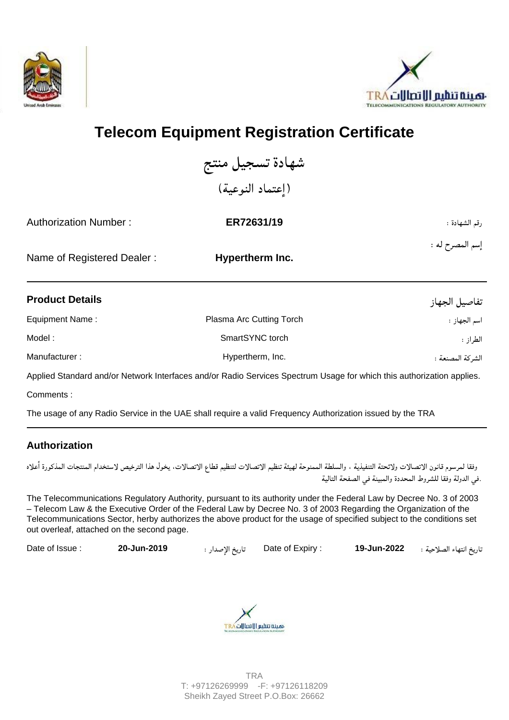



## **Telecom Equipment Registration Certificate**

شهادة تسجيل منتج (إعتماد النوعية)

| <b>Authorization Number:</b> | ER72631/19      | رقم الشهادة :   |
|------------------------------|-----------------|-----------------|
| Name of Registered Dealer:   | Hypertherm Inc. | إسم المصرح له : |
|                              |                 |                 |

| <b>Product Details</b> |                          | تفاصيل الجهاز    |
|------------------------|--------------------------|------------------|
| Equipment Name:        | Plasma Arc Cutting Torch | اسم الجهاز :     |
| Model:                 | SmartSYNC torch          | الطراز :         |
| Manufacturer:          | Hypertherm, Inc.         | الشركة المصنعة : |

Applied Standard and/or Network Interfaces and/or Radio Services Spectrum Usage for which this authorization applies.

Comments :

The usage of any Radio Service in the UAE shall require a valid Frequency Authorization issued by the TRA

## **Authorization**

وفقا لمرسوم قانون الاتصالات ولائحتة التنفيذية ، والسلطة الممنوحة لهيئة تنظيم التصالات التنطيع التاس الترخيص لاستخدام المنتجات المذكورة أعلاه ٔ .في الدولة وفقا للشروط المحددة والمبينة في الصفحة التالية

The Telecommunications Regulatory Authority, pursuant to its authority under the Federal Law by Decree No. 3 of 2003 – Telecom Law & the Executive Order of the Federal Law by Decree No. 3 of 2003 Regarding the Organization of the Telecommunications Sector, herby authorizes the above product for the usage of specified subject to the conditions set out overleaf, attached on the second page.

Date of Issue : **20-Jun-2019** : ارٕ ا ر Date of Expiry : **19-Jun-2022** : ا ءا ر